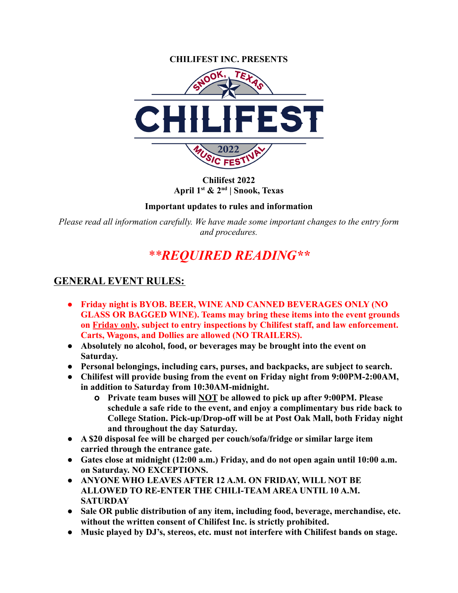

**Chilifest 2022 April 1st & 2nd | Snook, Texas**

**Important updates to rules and information**

*Please read all information carefully. We have made some important changes to the entry form and procedures.*

# *\*\*REQUIRED READING\*\**

## **GENERAL EVENT RULES:**

- **● Friday night is BYOB. BEER, WINE AND CANNED BEVERAGES ONLY (NO GLASS OR BAGGED WINE). Teams may bring these items into the event grounds on Friday only, subject to entry inspections by Chilifest staff, and law enforcement. Carts, Wagons, and Dollies are allowed (NO TRAILERS).**
- **● Absolutely no alcohol, food, or beverages may be brought into the event on Saturday.**
- **● Personal belongings, including cars, purses, and backpacks, are subject to search.**
- **● Chilifest will provide busing from the event on Friday night from 9:00PM-2:00AM, in addition to Saturday from 10:30AM-midnight.**
	- **o Private team buses will NOT be allowed to pick up after 9:00PM. Please schedule a safe ride to the event, and enjoy a complimentary bus ride back to College Station. Pick-up/Drop-off will be at Post Oak Mall, both Friday night and throughout the day Saturday.**
- **● A \$20 disposal fee will be charged per couch/sofa/fridge or similar large item carried through the entrance gate.**
- **● Gates close at midnight (12:00 a.m.) Friday, and do not open again until 10:00 a.m. on Saturday. NO EXCEPTIONS.**
- **● ANYONE WHO LEAVES AFTER 12 A.M. ON FRIDAY, WILL NOT BE ALLOWED TO RE-ENTER THE CHILI-TEAM AREA UNTIL 10 A.M. SATURDAY**
- **● Sale OR public distribution of any item, including food, beverage, merchandise, etc. without the written consent of Chilifest Inc. is strictly prohibited.**
- **● Music played by DJ's, stereos, etc. must not interfere with Chilifest bands on stage.**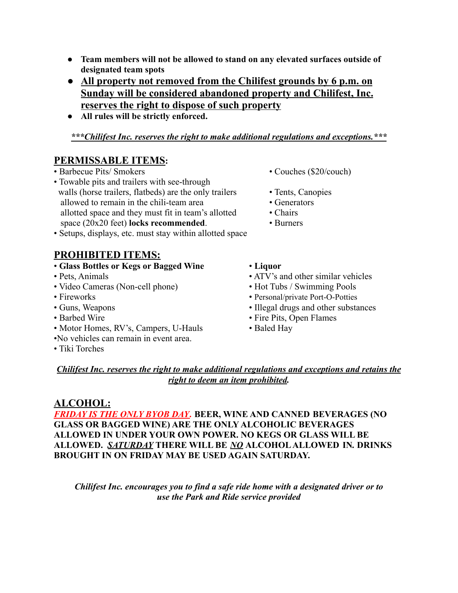- **● Team members will not be allowed to stand on any elevated surfaces outside of designated team spots**
- **● All property not removed from the Chilifest grounds by 6 p.m. on Sunday will be considered abandoned property and Chilifest, Inc. reserves the right to dispose of such property**
- **● All rules will be strictly enforced.**

## *\*\*\*Chilifest Inc. reserves the right to make additional regulations and exceptions.\*\*\**

## **PERMISSABLE ITEMS:**

## • Barbecue Pits/ Smokers • Couches (\$20/couch)

- Towable pits and trailers with see-through walls (horse trailers, flatbeds) are the only trailers • Tents, Canopies allowed to remain in the chili-team area • Generators allotted space and they must fit in team's allotted • Chairs space (20x20 feet) **locks recommended**. • Burners
- Setups, displays, etc. must stay within allotted space

# **PROHIBITED ITEMS:**

## • **Glass Bottles or Kegs or Bagged Wine** • **Liquor**

- 
- Video Cameras (Non-cell phone) Hot Tubs / Swimming Pools
- 
- 
- 
- Motor Homes, RV's, Campers, U-Hauls Baled Hay
- •No vehicles can remain in event area.
- Tiki Torches
- 
- 
- 
- 
- 
- 
- Pets, Animals ATV's and other similar vehicles
	-
- Fireworks Personal/private Port-O-Potties
- Guns, Weapons Illegal drugs and other substances
- Barbed Wire Fire Pits, Open Flames
	-

#### *Chilifest Inc. reserves the right to make additional regulations and exceptions and retains the right to deem an item prohibited.*

## **ALCOHOL:**

*FRIDAY IS THE ONLY BYOB DAY.* **BEER, WINE AND CANNED BEVERAGES (NO GLASS OR BAGGED WINE) ARE THE ONLY ALCOHOLIC BEVERAGES ALLOWED IN UNDER YOUR OWN POWER. NO KEGS OR GLASS WILL BE ALLOWED.** *SATURDAY* **THERE WILL BE** *NO* **ALCOHOL ALLOWED IN***.* **DRINKS BROUGHT IN ON FRIDAY MAY BE USED AGAIN SATURDAY.**

*Chilifest Inc. encourages you to find a safe ride home with a designated driver or to use the Park and Ride service provided*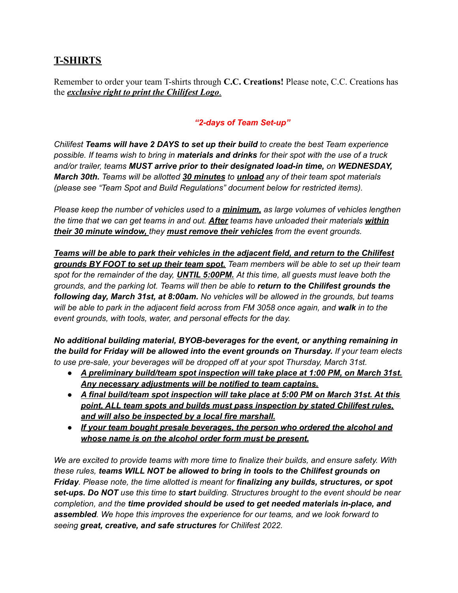## **T-SHIRTS**

Remember to order your team T-shirts through **C.C. Creations!** Please note, C.C. Creations has the *exclusive right to print the Chilifest Logo*.

#### *"2-days of Team Set-up"*

*Chilifest Teams will have 2 DAYS to set up their build to create the best Team experience* possible. If teams wish to bring in materials and drinks for their spot with the use of a truck *and/or trailer, teams MUST arrive prior to their designated load-in time, on WEDNESDAY, March 30th. Teams will be allotted 30 minutes to unload any of their team spot materials (please see "Team Spot and Build Regulations" document below for restricted items).*

*Please keep the number of vehicles used to a minimum, as large volumes of vehicles lengthen the time that we can get teams in and out. After teams have unloaded their materials within their 30 minute window, they must remove their vehicles from the event grounds.*

*Teams will be able to park their vehicles in the adjacent field, and return to the Chilifest grounds BY FOOT to set up their team spot. Team members will be able to set up their team spot for the remainder of the day, UNTIL 5:00PM. At this time, all guests must leave both the grounds, and the parking lot. Teams will then be able to return to the Chilifest grounds the following day, March 31st, at 8:00am. No vehicles will be allowed in the grounds, but teams* will be able to park in the adjacent field across from FM 3058 once again, and walk in to the *event grounds, with tools, water, and personal effects for the day.*

*No additional building material, BYOB-beverages for the event, or anything remaining in the build for Friday will be allowed into the event grounds on Thursday. If your team elects to use pre-sale, your beverages will be dropped off at your spot Thursday, March 31st.*

- *● A preliminary build/team spot inspection will take place at 1:00 PM, on March 31st. Any necessary adjustments will be notified to team captains.*
- *● A final build/team spot inspection will take place at 5:00 PM on March 31st. At this point, ALL team spots and builds must pass inspection by stated Chilifest rules, and will also be inspected by a local fire marshall.*
- *● If your team bought presale beverages, the person who ordered the alcohol and whose name is on the alcohol order form must be present.*

*We are excited to provide teams with more time to finalize their builds, and ensure safety. With these rules, teams WILL NOT be allowed to bring in tools to the Chilifest grounds on Friday. Please note, the time allotted is meant for finalizing any builds, structures, or spot set-ups. Do NOT use this time to start building. Structures brought to the event should be near completion, and the time provided should be used to get needed materials in-place, and assembled. We hope this improves the experience for our teams, and we look forward to seeing great, creative, and safe structures for Chilifest 2022.*